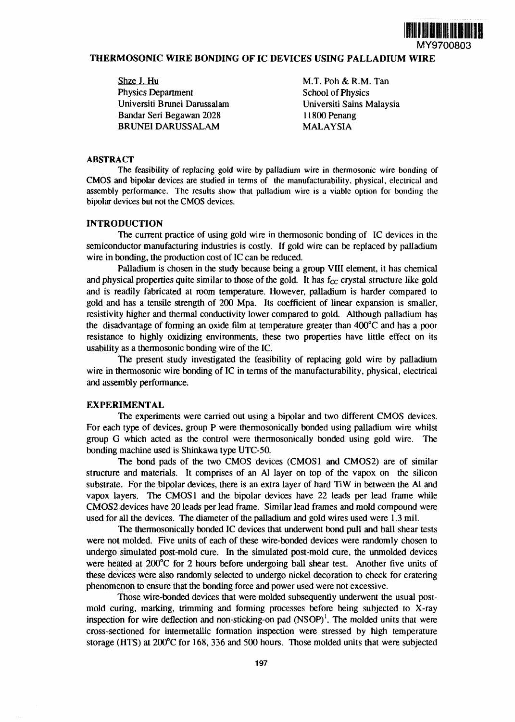

# **THERMOSONIC WIRE BONDING OF IC DEVICES USING PALLADIUM WIRE**

| Shze J. Hu                   |
|------------------------------|
| <b>Physics Department</b>    |
| Universiti Brunei Darussalam |
| Bandar Seri Begawan 2028     |
| <b>BRUNEI DARUSSALAM</b>     |

M.T. Poh & R.M. Tan **School of Physics** Universiti Sains Malaysia 11800 Penang **MALAYSIA** 

#### **ABSTRACT**

The feasibility of replacing gold wire by palladium wire in thermosonic wire bonding of CMOS and bipolar devices are studied in terms of the manufacturability, physical, electrical and assembly performance. The results show that palladium wire is a viable option for bonding the bipolar devices but not the CMOS devices.

## **INTRODUCTION**

The current practice of using gold wire in thermosonic bonding of IC devices in the semiconductor manufacturing industries is costly. If gold wire can be replaced by palladium wire in bonding, the production cost of IC can be reduced.

Palladium is chosen in the study because being a group VIII element, it has chemical and physical properties quite similar to those of the gold. It has  $f_{CC}$  crystal structure like gold and is readily fabricated at room temperature. However, palladium is harder compared to gold and has a tensile strength of 200 Mpa. Its coefficient of linear expansion is smaller, resistivity higher and thermal conductivity lower compared to gold. Although palladium has the disadvantage of forming an oxide film at temperature greater than 400°C and has a poor resistance to highly oxidizing environments, these two properties have little effect on its usability as a thermosonic bonding wire of the IC.

The present study investigated the feasibility of replacing gold wire by palladium wire in thermosonic wire bonding of IC in terms of the manufacturability, physical, electrical and assembly performance.

#### **EXPERIMENTAL**

The experiments were carried out using a bipolar and two different CMOS devices. For each type of devices, group P were thermosonically bonded using palladium wire whilst group G which acted as the control were thermosonically bonded using gold wire. The bonding machine used is Shinkawa type UTC-50.

The bond pads of the two CMOS devices (CMOS1 and CMOS2) are of similar structure and materials. It comprises of an Al layer on top of the vapox on the silicon substrate. For the bipolar devices, there is an extra layer of hard TiW in between the Al and vapox layers. The CMOS1 and the bipolar devices have 22 leads per lead frame while CMOS2 devices have 20 leads per lead frame. Similar lead frames and mold compound were used for all the devices. The diameter of the palladium and gold wires used were 1.3 mil.

The thermosonically bonded IC devices that underwent bond pull and ball shear tests were not molded. Five units of each of these wire-bonded devices were randomly chosen to undergo simulated post-mold cure. In the simulated post-mold cure, the unmolded devices were heated at 200°C for 2 hours before undergoing ball shear test. Another five units of these devices were also randomly selected to undergo nickel decoration to check for cratering phenomenon to ensure that the bonding force and power used were not excessive.

Those wire-bonded devices that were molded subsequently underwent the usual postmold curing, marking, trimming and forming processes before being subjected to X-ray inspection for wire deflection and non-sticking-on pad  $(NSOP)^1$ . The molded units that were cross-sectioned for intermetallic formation inspection were stressed by high temperature storage (HTS) at 200°C for 168, 336 and 500 hours. Those molded units that were subjected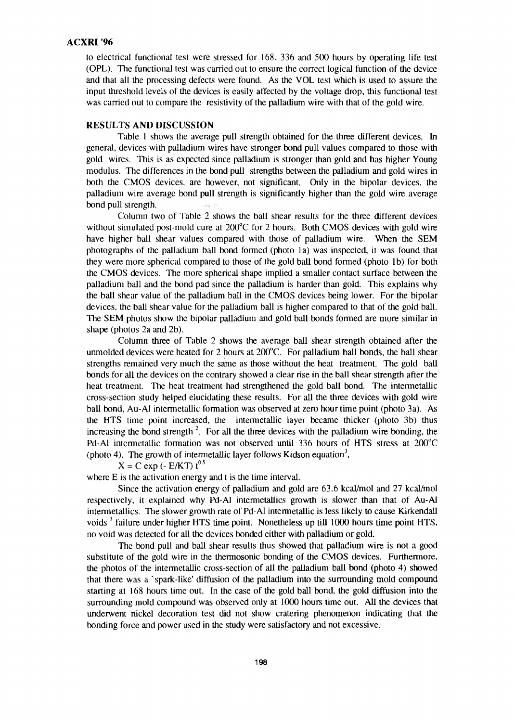# **ACXRI '96**

to electrical functional test were stressed for 168, 336 and 500 hours by operating life test (OPL). The functional test was carried out to ensure the correct logical function of the device and that all the processing defects were found. As the VOL test which is used to assure the input threshold levels of the devices is easily affected by the voltage drop, this functional test was carried out to compare the resistivity of the palladium wire with that of the gold wire.

### RESULTS **AND DISCUSSION**

Table 1 shows the average pull strength obtained for the three different devices. In general, devices with palladium wires have stronger bond pull values compared to those with gold wires. This is as expected since palladium is stronger than gold and has higher Young modulus. The differences in the bond pull strengths between the palladium and gold wires in both the CMOS devices, are however, not significant. Only in the bipolar devices, the palladium wire average bond pull strength is significantly higher than the gold wire average bond pull strength.

Column two of Table 2 shows the ball shear results for the three different devices without simulated post-mold cure at 200°C for 2 hours. Both CMOS devices with gold wire have higher ball shear values compared with those of palladium wire. When the SEM photographs of the palladium ball bond formed (photo la) was inspected, it was found that they were more spherical compared to those of the gold ball bond formed (photo lb) for both the CMOS devices. The more spherical shape implied a smaller contact surface between the palladium ball and the bond pad since the palladium is harder than gold. This explains why the ball shear value of the palladium ball in the CMOS devices being lower. For the bipolar devices, the ball shear value for the palladium ball is higher compared to that of the gold ball. The SEM photos show the bipolar palladium and gold ball bonds formed are more similar in shape (photos 2a and 2b).

Column three of Table 2 shows the average ball shear strength obtained after the unmolded devices were heated for 2 hours at 200°C. For palladium ball bonds, the ball shear strengths remained very much the same as those without the heat treatment. The gold ball bonds for all the devices on the contrary showed a clear rise in the ball shear strength after the heat treatment. The heat treatment had strengthened the gold ball bond. The intermetallic cross-section study helped elucidating these results. For all the three devices with gold wire ball bond, Au-Al intermetallic formation was observed at zero hour time point (photo 3a). As the HTS time point increased, the intermetallic layer became thicker (photo 3b) thus increasing the bond strength<sup>2</sup>. For all the three devices with the palladium wire bonding, the Pd-Al intermetallic formation was not observed until 336 hours of HTS stress at 200°C (photo 4). The growth of intermetallic layer follows Kidson equation<sup>3</sup>,

## $X = C \exp(-E/KT) t^{0.5}$

where E is the activation energy and t is the time interval.

Since the activation energy of palladium and gold are 63.6 kcal/mol and 27 kcal/mol respectively, it explained why Pd-Al intermetallics growth is slower than that of Au-Al intermetallics. The slower growth rate of Pd-Al intermetallic is less likely to cause Kirkendall voids<sup>3</sup> failure under higher HTS time point. Nonetheless up till 1000 hours time point HTS, no void was detected for all the devices bonded either with palladium or gold.

The bond pull and ball shear results thus showed that palladium wire is not a good substitute of the gold wire in the thermosonic bonding of the CMOS devices. Furthermore, the photos of the intermetallic cross-section of all the palladium ball bond (photo 4) showed that there was a 'spark-like' diffusion of the palladium into the surrounding mold compound starting at 168 hours time out. In the case of the gold ball bond, the gold diffusion into the surrounding mold compound was observed only at 1000 hours time out. All the devices that underwent nickel decoration test did not show cratering phenomenon indicating that the bonding force and power used in the study were satisfactory and not excessive.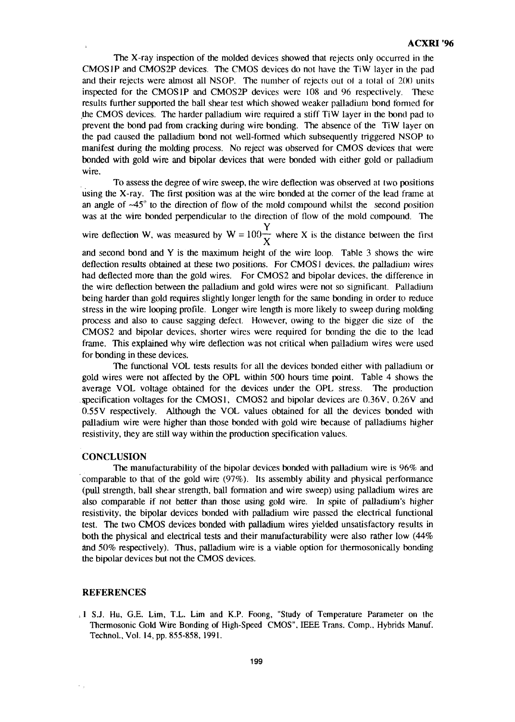The X-ray inspection of the molded devices showed that rejects only occurred in the CMOS IP and CMOS2P devices. The CMOS devices do not have the TiW layer in the pad and their rejects were almost all NSOP. The number of rejects out ol a lotal of 200 units inspected for the CMOS IP and CMOS2P devices were 108 and 96 respectively. These results further supported the ball shear test which showed weaker palladium bond formed for the CMOS devices. The harder palladium wire required a stiff TiW layer in the bond pad to prevent the bond pad from cracking during wire bonding. The absence of the TiW layer on the pad caused the palladium bond not well-formed which subsequently triggered NSOP to manifest during the molding process. No reject was observed for CMOS devices that were bonded with gold wire and bipolar devices that were bonded with either gold or palladium wire.

To assess the degree of wire sweep, the wire deflection was observed at two positions using the X-ray. The first position was at the wire bonded at the corner of the lead frame at an angle of  $\sim$ 45 $\degree$  to the direction of flow of the mold compound whilst the second position was at the wire bonded perpendicular to the direction of flow of the mold compound. The

**Y** wire deflection w, was measured by  $w = 100 - w$  where X is the distance between the first

and second bond and Y is the maximum height of the wire loop. Table 3 shows the wire deflection results obtained at these two positions. For CMOS1 devices, the palladium wires had deflected more than the gold wires. For CMOS2 and bipolar devices, the difference in the wire deflection between the palladium and gold wires were not so significant. Palladium the being harder than gold requires slightly longer length for the same bonding in order to reduce stress in the wire looping profile. Longer wire length is more likely to sweep during molding process and also to cause sagging defect. However, owing to the bigger die size of the CMOS2 and bipolar devices, shorter wires were required for bonding the die to the lead frame. This explained why wire deflection was not critical when palladium wires were used for bonding in these devices.

The functional VOL tests results for all the devices bonded either with palladium or gold wires were not affected by the OPL within 500 hours time point. Table 4 shows the average VOL voltage obtained for the devices under the OPL stress. The production specification voltages for the CMOS1, CMOS2 and bipolar devices are  $0.36V$ ,  $0.26V$  and  $0.55V$  respectively. Although the VOL values obtained for all the devices bonded with 0.55V respectively. Although the VOL values obtained for all the devices bonded with palladium wire were higher than those bonded with gold wire because of palladiums higher resistivity, they are still way within the production specification values.

### **CONCLUSION**

The manufacturability of the bipolar devices bonded with palladium wire is 96% and comparable to that of the gold wire (97%). Its assembly ability and physical performance (pull strength, ball shear strength, ball formation and wire sweep) using palladium wires are also comparable if not better than those using gold wire. In spite of palladium's higher resistivity, the bipolar devices bonded with palladium wire passed the electrical functional test. The two CMOS devices bonded with palladium wires yielded unsatisfactory results in both the physical and electrical tests and their manufacturability were also rather low (44% and 50% respectively). Thus, palladium wire is a viable option for thermosonically bonding the bipolar devices but not the CMOS devices.

#### REFERENCES

»1 S.J. Hu, G.E. Lim, T.L. Lim and K.P. Foong, "Study of Temperature Parameter on the Thermosonic Gold Wire Bonding of High-Speed CMOS", IEEE Trans. Comp., Hybrids Manuf. Technol., Vol. 14, pp. 855-858, 1991.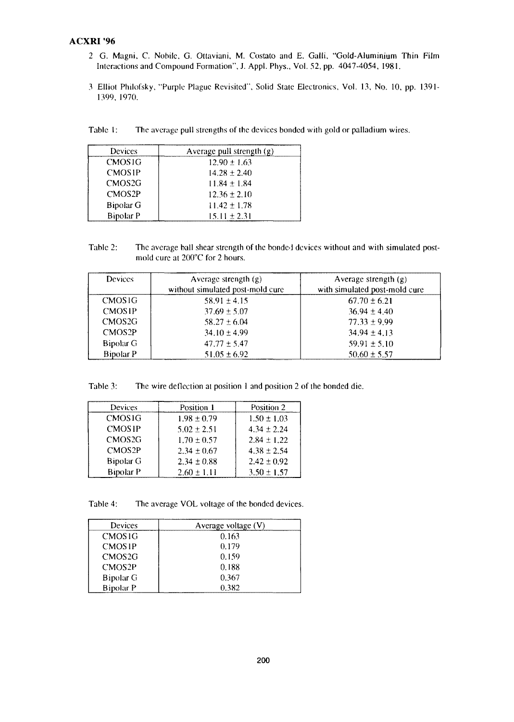## ACXRI '96

- 2 G. Magni, C. Nobilc, G. Ottaviani, M. Costato and E. Galli, "Gold-Aluminium Thin Film Interactions and Compound Formation", J. Appl. Phys., Vol. 52, pp. 4047-4054, 1981.
- 3 Elliot Philofsky, "Purple Plague Revisited", Solid State Electronics, Vol. 13, No. 10, pp. 1391- 1399, 1970.

Table 1: The average pull strengths of the devices bonded with gold or palladium wires.

| Devices             | Average pull strength $(g)$ |
|---------------------|-----------------------------|
| CMOS <sub>1G</sub>  | $12.90 \pm 1.63$            |
| <b>CMOS1P</b>       | $14.28 \pm 2.40$            |
| CMOS <sub>2G</sub>  | $11.84 \pm 1.84$            |
| CMOS <sub>2</sub> P | $12.36 \pm 2.10$            |
| Bipolar G           | $11.42 \pm 1.78$            |
| <b>Bipolar P</b>    | $15.11 \pm 2.31$            |

Table 2: The average ball shear strength of the bonded devices without and with simulated postmoid cure at 200°C for 2 hours.

| <b>Devices</b>     | Average strength $(g)$<br>without simulated post-mold cure | Average strength $(g)$<br>with simulated post-mold cure |
|--------------------|------------------------------------------------------------|---------------------------------------------------------|
| <b>CMOS1G</b>      | $58.91 \pm 4.15$                                           | $67.70 \pm 6.21$                                        |
| <b>CMOSIP</b>      | $37.69 \pm 5.07$                                           | $36.94 \pm 4.40$                                        |
| CMOS <sub>2G</sub> | $58.27 \pm 6.04$                                           | $77.33 \pm 9.99$                                        |
| CMOS2P             | $34.10 \pm 4.99$                                           | $34.94 \pm 4.13$                                        |
| Bipolar G          | $47.77 \pm 5.47$                                           | $59.91 \pm 5.10$                                        |
| <b>Bipolar P</b>   | $51.05 \pm 6.92$                                           | $50.60 \pm 5.57$                                        |

Table 3: The wire deflection at position 1 and position 2 of the bonded die.

| Devices            | Position 1      | Position 2      |
|--------------------|-----------------|-----------------|
| <b>CMOSIG</b>      | $1.98 \pm 0.79$ | $1.50 \pm 1.03$ |
| <b>CMOS1P</b>      | $5.02 \pm 2.51$ | $4.34 \pm 2.24$ |
| CMOS <sub>2G</sub> | $1.70 \pm 0.57$ | $2.84 \pm 1.22$ |
| CMOS2P             | $2.34 \pm 0.67$ | $4.38 \pm 2.54$ |
| <b>Bipolar G</b>   | $2.34 \pm 0.88$ | $2.42 \pm 0.92$ |
| <b>Bipolar P</b>   | $2.60 \pm 1.11$ | $3.50 \pm 1.57$ |

Table 4: The average VOL voltage of the bonded devices.

| <b>Devices</b>     | Average voltage (V) |  |
|--------------------|---------------------|--|
| <b>CMOSIG</b>      | 0.163               |  |
| <b>CMOSIP</b>      | 0.179               |  |
| CMOS <sub>2G</sub> | 0.159               |  |
| CMOS2P             | 0.188               |  |
| Bipolar G          | 0.367               |  |
| <b>Bipolar P</b>   | 0.382               |  |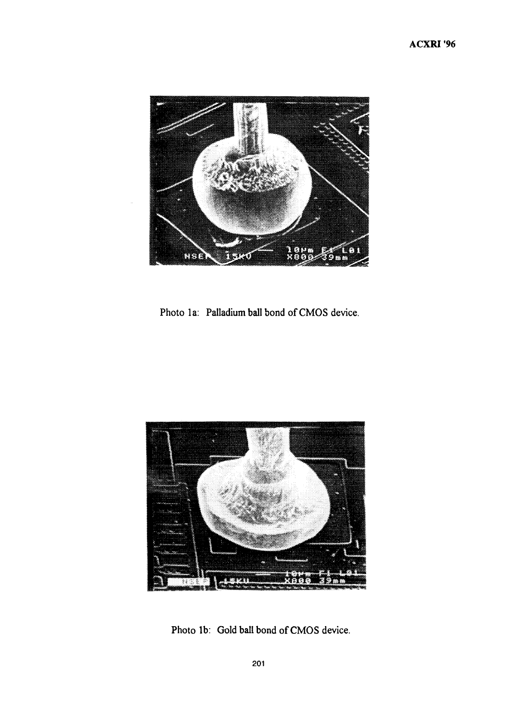

Photo la: Palladium ball bond of CMOS device.



Photo lb: Gold ball bond of CMOS device.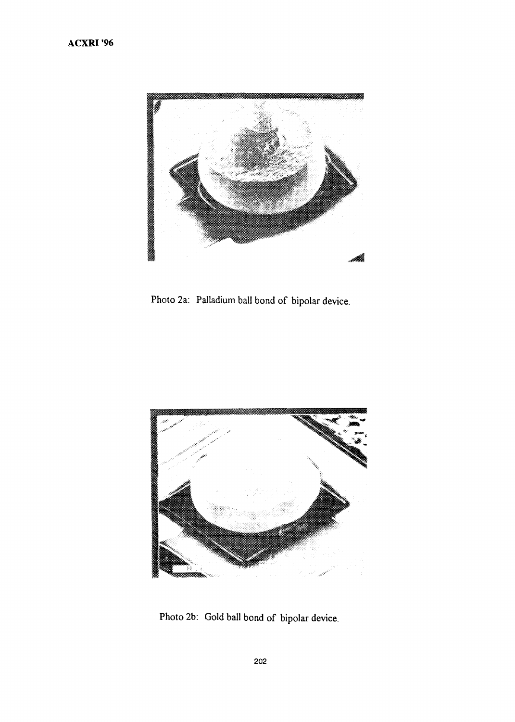

Photo 2a: Palladium ball bond of bipolar device.



Photo 2b: Gold ball bond of bipolar device.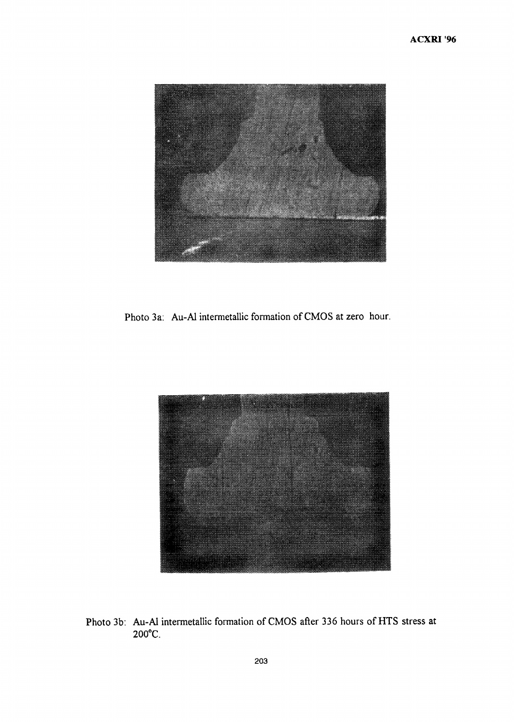

Photo 3a: Au-Al intermetallic formation of CMOS at zero hour.



Photo 3b: Au-Al intermetallic formation of CMOS after 336 hours of HTS stress at 200°C.